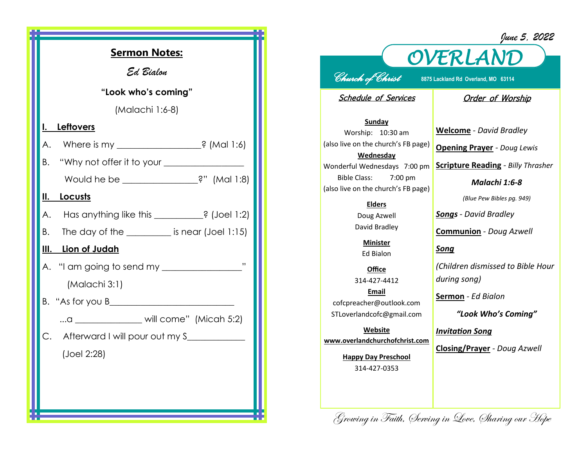| <b>Sermon Notes:</b>                                     |             |
|----------------------------------------------------------|-------------|
| Ed Bialon                                                |             |
| "Look who's coming"                                      |             |
| (Malachi 1:6-8)                                          |             |
| <b>Leftovers</b><br>I.                                   |             |
| Where is my _____________________? (Mal 1:6)<br>А.       |             |
| "Why not offer it to your $\_\_$<br>В.                   |             |
| Would he be _______________?" (Mal 1:8)                  |             |
| Locusts<br>II.                                           |             |
| Has anything like this __________? (Joel 1:2)<br>А.      |             |
| The day of the $\_\_\_\_\_\_\$ is near (Joel 1:15)<br>В. |             |
| <u>III. Lion of Judah</u>                                |             |
|                                                          | $, \, , \,$ |
| (Malachi 3:1)                                            |             |
|                                                          |             |
| a ________________ will come" (Micah 5:2)                |             |
| C.<br>Afterward I will pour out my S____________         |             |
| (Joel 2:28)                                              |             |
|                                                          |             |
|                                                          |             |
|                                                          |             |

## *OVERLAND June 5, 2022*

## *Church of Christ* **8875 Lackland Rd Overland, MO 63114**

Schedule of Services

## Order of Worship

**Sunday** Worship: 10:30 am (also live on the church's FB page) **Wednesday** Wonderful Wednesdays 7:00 pm Bible Class: 7:00 pm (also live on the church's FB page)

## **Elders**

Doug Azwell David Bradley

**Minister** Ed Bialon

**Office** 314-427-4412 **Email** cofcpreacher@outlook.com STLoverlandcofc@gmail.com

**Website www.overlandchurchofchrist.com**

> **Happy Day Preschool** 314-427-0353

**Welcome** *- David Bradley*

**Opening Prayer** *- Doug Lewis*

**Scripture Reading** *- Billy Thrasher* 

*Malachi 1:6-8*

*(Blue Pew Bibles pg. 949)*

*Songs - David Bradley*

**Communion** *- Doug Azwell*

*Song*

*(Children dismissed to Bible Hour during song)*

**Sermon** *- Ed Bialon* 

*"Look Who's Coming"*

*Invitation Song*

**Closing/Prayer** *- Doug Azwell*

Growing in Faith, Serving in Love, Sharing our Hope